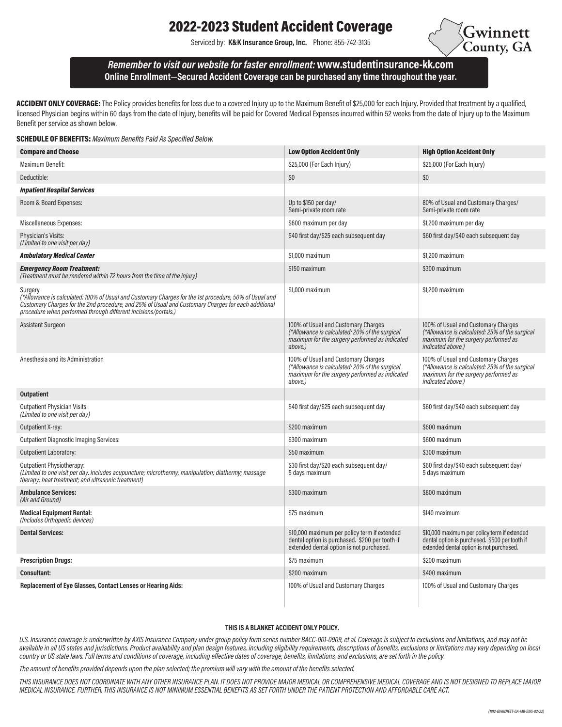# 2022-2023 Student Accident Coverage

Serviced by: K&K Insurance Group, Inc. Phone: 855-742-3135



# Remember to visit our website for faster enrollment:www.studentinsurance-kk.com Online Enrollment—Secured Accident Coverage can be purchased any time throughout the year.

ACCIDENT ONLY COVERAGE: The Policy provides benefits for loss due to a covered Injury up to the Maximum Benefit of \$25,000 for each Injury. Provided that treatment by a qualified, licensed Physician begins within 60 days from the date of Injury, benefits will be paid for Covered Medical Expenses incurred within 52 weeks from the date of Injury up to the Maximum Benefit per service as shown below.

#### **SCHEDULE OF BENEFITS:** Maximum Benefits Paid As Specified Below.

| <b>Compare and Choose</b>                                                                                                                                                                                                                                                                  | <b>Low Option Accident Only</b>                                                                                                                    | <b>High Option Accident Only</b>                                                                                                                   |
|--------------------------------------------------------------------------------------------------------------------------------------------------------------------------------------------------------------------------------------------------------------------------------------------|----------------------------------------------------------------------------------------------------------------------------------------------------|----------------------------------------------------------------------------------------------------------------------------------------------------|
| Maximum Benefit:                                                                                                                                                                                                                                                                           | \$25,000 (For Each Injury)                                                                                                                         | \$25,000 (For Each Injury)                                                                                                                         |
| Deductible:                                                                                                                                                                                                                                                                                | \$0                                                                                                                                                | \$0                                                                                                                                                |
| <b>Inpatient Hospital Services</b>                                                                                                                                                                                                                                                         |                                                                                                                                                    |                                                                                                                                                    |
| Room & Board Expenses:                                                                                                                                                                                                                                                                     | Up to \$150 per day/<br>Semi-private room rate                                                                                                     | 80% of Usual and Customary Charges/<br>Semi-private room rate                                                                                      |
| Miscellaneous Expenses:                                                                                                                                                                                                                                                                    | \$600 maximum per day                                                                                                                              | \$1,200 maximum per day                                                                                                                            |
| Physician's Visits:<br>(Limited to one visit per day)                                                                                                                                                                                                                                      | \$40 first day/\$25 each subsequent day                                                                                                            | \$60 first day/\$40 each subsequent day                                                                                                            |
| <b>Ambulatory Medical Center</b>                                                                                                                                                                                                                                                           | \$1,000 maximum                                                                                                                                    | \$1,200 maximum                                                                                                                                    |
| <b>Emergency Room Treatment:</b><br>(Treatment must be rendered within 72 hours from the time of the injury)                                                                                                                                                                               | \$150 maximum                                                                                                                                      | \$300 maximum                                                                                                                                      |
| Surgery<br>(*Allowance is calculated: 100% of Usual and Customary Charges for the 1st procedure, 50% of Usual and<br>Customary Charges for the 2nd procedure, and 25% of Usual and Customary Charges for each additional<br>procedure when performed through different incisions/portals.) | \$1,000 maximum                                                                                                                                    | \$1,200 maximum                                                                                                                                    |
| Assistant Surgeon                                                                                                                                                                                                                                                                          | 100% of Usual and Customary Charges<br>(*Allowance is calculated: 20% of the surgical<br>maximum for the surgery performed as indicated<br>above.) | 100% of Usual and Customary Charges<br>(*Allowance is calculated: 25% of the surgical<br>maximum for the surgery performed as<br>indicated above.) |
| Anesthesia and its Administration                                                                                                                                                                                                                                                          | 100% of Usual and Customary Charges<br>(*Allowance is calculated: 20% of the surgical<br>maximum for the surgery performed as indicated<br>above.) | 100% of Usual and Customary Charges<br>(*Allowance is calculated: 25% of the surgical<br>maximum for the surgery performed as<br>indicated above.) |
| <b>Outpatient</b>                                                                                                                                                                                                                                                                          |                                                                                                                                                    |                                                                                                                                                    |
| <b>Outpatient Physician Visits:</b><br>(Limited to one visit per day)                                                                                                                                                                                                                      | \$40 first day/\$25 each subsequent day                                                                                                            | \$60 first day/\$40 each subsequent day                                                                                                            |
| Outpatient X-ray:                                                                                                                                                                                                                                                                          | \$200 maximum                                                                                                                                      | \$600 maximum                                                                                                                                      |
| <b>Outpatient Diagnostic Imaging Services:</b>                                                                                                                                                                                                                                             | \$300 maximum                                                                                                                                      | \$600 maximum                                                                                                                                      |
| <b>Outpatient Laboratory:</b>                                                                                                                                                                                                                                                              | \$50 maximum                                                                                                                                       | \$300 maximum                                                                                                                                      |
| <b>Outpatient Physiotherapy:</b><br>(Limited to one visit per day. Includes acupuncture; microthermy; manipulation; diathermy; massage<br>therapy; heat treatment; and ultrasonic treatment)                                                                                               | \$30 first day/\$20 each subsequent day/<br>5 days maximum                                                                                         | \$60 first day/\$40 each subsequent day/<br>5 days maximum                                                                                         |
| <b>Ambulance Services:</b><br>(Air and Ground)                                                                                                                                                                                                                                             | \$300 maximum                                                                                                                                      | \$800 maximum                                                                                                                                      |
| <b>Medical Equipment Rental:</b><br>(Includes Orthopedic devices)                                                                                                                                                                                                                          | \$75 maximum                                                                                                                                       | \$140 maximum                                                                                                                                      |
| <b>Dental Services:</b>                                                                                                                                                                                                                                                                    | \$10,000 maximum per policy term if extended<br>dental option is purchased. \$200 per tooth if<br>extended dental option is not purchased.         | \$10,000 maximum per policy term if extended<br>dental option is purchased. \$500 per tooth if<br>extended dental option is not purchased.         |
| <b>Prescription Drugs:</b>                                                                                                                                                                                                                                                                 | \$75 maximum                                                                                                                                       | \$200 maximum                                                                                                                                      |
| <b>Consultant:</b>                                                                                                                                                                                                                                                                         | \$200 maximum                                                                                                                                      | \$400 maximum                                                                                                                                      |
| <b>Replacement of Eye Glasses, Contact Lenses or Hearing Aids:</b>                                                                                                                                                                                                                         | 100% of Usual and Customary Charges                                                                                                                | 100% of Usual and Customary Charges                                                                                                                |

#### THIS IS A BLANKET ACCIDENT ONLY POLICY.

U.S. Insurance coverage is underwritten by AXIS Insurance Company under group policy form series number BACC-001-0909, et al. Coverage is subject to exclusions and limitations, and may not be available in all US states and jurisdictions. Product availability and plan design features, including eligibility requirements, descriptions of benefits, exclusions or limitations may vary depending on local country or US state laws. Full terms and conditions of coverage, including effective dates of coverage, benefits, limitations, and exclusions, are set forth in the policy.

The amount of benefits provided depends upon the plan selected; the premium will vary with the amount of the benefits selected.

THIS INSURANCE DOES NOT COORDINATE WITH ANY OTHER INSURANCE PLAN. IT DOES NOT PROVIDE MAJOR MEDICAL OR COMPREHENSIVE MEDICAL COVERAGE AND IS NOT DESIGNED TO REPLACE MAJOR MEDICAL INSURANCE. FURTHER, THIS INSURANCE IS NOT MINIMUM ESSENTIAL BENEFITS AS SET FORTH UNDER THE PATIENT PROTECTION AND AFFORDABLE CARE ACT.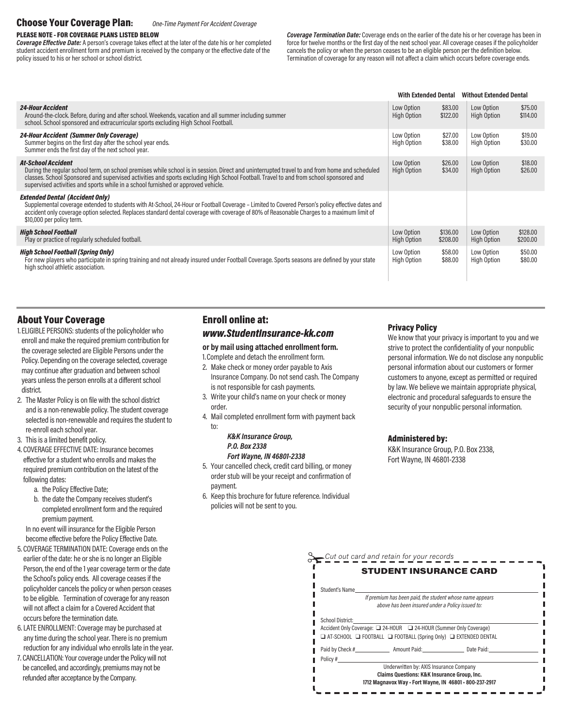# Choose Your Coverage Plan: One-Time Payment For Accident Coverage

### PLEASE NOTE - FOR COVERAGE PLANS LISTED BELOW

**Coverage Effective Date:** A person's coverage takes effect at the later of the date his or her completed student accident enrollment form and premium is received by the company or the effective date of the policy issued to his or her school or school district.

Coverage Termination Date: Coverage ends on the earlier of the date his or her coverage has been in force for twelve months or the first day of the next school year. All coverage ceases if the policyholder cancels the policy or when the person ceases to be an eligible person per the definition below. Termination of coverage for any reason will not affect a claim which occurs before coverage ends.

|                                                                                                                                                                                                                                                                                                                                                                                                           | <b>With Extended Dental</b>      |                      | <b>Without Extended Dental</b>   |                      |
|-----------------------------------------------------------------------------------------------------------------------------------------------------------------------------------------------------------------------------------------------------------------------------------------------------------------------------------------------------------------------------------------------------------|----------------------------------|----------------------|----------------------------------|----------------------|
| <i><b>24-Hour Accident</b></i><br>Around-the-clock. Before, during and after school. Weekends, vacation and all summer including summer<br>school. School sponsored and extracurricular sports excluding High School Football.                                                                                                                                                                            | Low Option<br><b>High Option</b> | \$83.00<br>\$122.00  | Low Option<br><b>High Option</b> | \$75.00<br>\$114.00  |
| <b>24-Hour Accident (Summer Only Coverage)</b><br>Summer begins on the first day after the school year ends.<br>Summer ends the first day of the next school year.                                                                                                                                                                                                                                        | Low Option<br><b>High Option</b> | \$27.00<br>\$38.00   | Low Option<br>High Option        | \$19,00<br>\$30.00   |
| <b>At-School Accident</b><br>During the regular school term, on school premises while school is in session. Direct and uninterrupted travel to and from home and scheduled<br>classes. School Sponsored and supervised activities and sports excluding High School Football. Travel to and from school sponsored and<br>supervised activities and sports while in a school furnished or approved vehicle. | Low Option<br>High Option        | \$26.00<br>\$34.00   | Low Option<br><b>High Option</b> | \$18.00<br>\$26.00   |
| <b>Extended Dental (Accident Only)</b><br>Supplemental coverage extended to students with At-School, 24-Hour or Football Coverage – Limited to Covered Person's policy effective dates and<br>accident only coverage option selected. Replaces standard dental coverage with coverage of 80% of Reasonable Charges to a maximum limit of<br>\$10,000 per policy term.                                     |                                  |                      |                                  |                      |
| <b>High School Football</b><br>Play or practice of regularly scheduled football.                                                                                                                                                                                                                                                                                                                          | Low Option<br><b>High Option</b> | \$136.00<br>\$208.00 | Low Option<br>High Option        | \$128,00<br>\$200.00 |
| <b>High School Football (Spring Only)</b><br>For new players who participate in spring training and not already insured under Football Coverage. Sports seasons are defined by your state<br>high school athletic association.                                                                                                                                                                            | Low Option<br><b>High Option</b> | \$58.00<br>\$88.00   | Low Option<br><b>High Option</b> | \$50,00<br>\$80.00   |

### About Your Coverage

- 1. ELIGIBLE PERSONS: students of the policyholder who enroll and make the required premium contribution for the coverage selected are Eligible Persons under the Policy. Depending on the coverage selected, coverage may continue after graduation and between school years unless the person enrolls at a different school district.
- 2. The Master Policy is on file with the school district and is a non-renewable policy. The student coverage selected is non-renewable and requires the student to re-enroll each school year.
- 3. This is a limited benefit policy.
- 4. COVERAGE EFFECTIVE DATE: Insurance becomes effective for a student who enrolls and makes the required premium contribution on the latest of the following dates:
	- a. the Policy Effective Date;
	- b. the date the Company receives student's completed enrollment form and the required premium payment.

In no event will insurance for the Eligible Person become effective before the Policy Effective Date.

- 5. COVERAGE TERMINATION DATE: Coverage ends on the earlier of the date: he or she is no longer an Eligible Person, the end of the 1 year coverage term or the date the School's policy ends. All coverage ceases if the policyholder cancels the policy or when person ceases to be eligible. Termination of coverage for any reason will not affect a claim for a Covered Accident that occurs before the termination date.
- 6. LATE ENROLLMENT: Coverage may be purchased at any time during the school year. There is no premium reduction for any individual who enrolls late in the year.
- 7. CANCELLATION: Your coverage under the Policy will not be cancelled, and accordingly, premiums may not be refunded after acceptance by the Company.

# Enroll online at: www.StudentInsurance-kk.com

### or by mail using attached enrollment form.

- 1. Complete and detach the enrollment form.
- 2. Make check or money order payable to Axis Insurance Company. Do not send cash. The Company is not responsible for cash payments.
- 3. Write your child's name on your check or money order.
- 4. Mail completed enrollment form with payment back to:

#### K&K Insurance Group, P.O. Box 2338 Fort Wayne, IN 46801-2338

- 5. Your cancelled check, credit card billing, or money order stub will be your receipt and confirmation of payment.
- 6. Keep this brochure for future reference. Individual policies will not be sent to you.

### Privacy Policy

We know that your privacy is important to you and we strive to protect the confidentiality of your nonpublic personal information. We do not disclose any nonpublic personal information about our customers or former customers to anyone, except as permitted or required by law. We believe we maintain appropriate physical, electronic and procedural safeguards to ensure the security of your nonpublic personal information.

#### Administered by:

K&K Insurance Group, P.O. Box 2338, Fort Wayne, IN 46801-2338

|                  | <b>STUDENT INSURANCE CARD</b>                                                                                                                           |  |
|------------------|---------------------------------------------------------------------------------------------------------------------------------------------------------|--|
| Student's Name   |                                                                                                                                                         |  |
|                  | If premium has been paid, the student whose name appears<br>above has been insured under a Policy issued to:                                            |  |
| School District: | Accident Only Coverage: 24-HOUR 24-HOUR (Summer Only Coverage)<br>$\Box$ AT-SCHOOL $\Box$ FOOTBALL $\Box$ FOOTBALL (Spring Only) $\Box$ EXTENDED DENTAL |  |
|                  | Paid by Check # Amount Paid: Date Paid:                                                                                                                 |  |
| Policy #         | Underwritten by: AXIS Insurance Company<br>Claims Questions: K&K Insurance Group, Inc.<br>1712 Magnavox Way - Fort Wayne, IN 46801 - 800-237-2917       |  |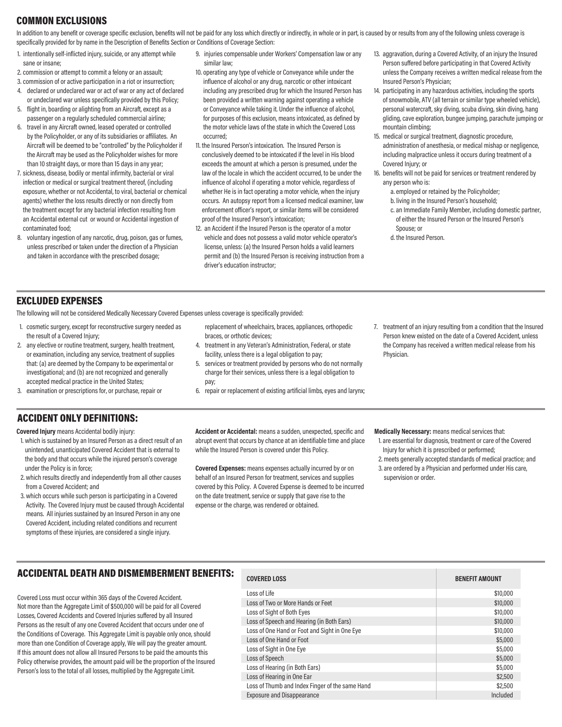# COMMON EXCLUSIONS

In addition to any benefit or coverage specific exclusion, benefits will not be paid for any loss which directly or indirectly, in whole or in part, is caused by or results from any of the following unless coverage is specifically provided for by name in the Description of Benefits Section or Conditions of Coverage Section:

- 1. intentionally self-inflicted injury, suicide, or any attempt while sane or insane;
- 2. commission or attempt to commit a felony or an assault;
- 3. commission of or active participation in a riot or insurrection;
- 4. declared or undeclared war or act of war or any act of declared or undeclared war unless specifically provided by this Policy;
- 5. flight in, boarding or alighting from an Aircraft, except as a passenger on a regularly scheduled commercial airline; 6. travel in any Aircraft owned, leased operated or controlled
- by the Policyholder, or any of its subsidiaries or affiliates. An Aircraft will be deemed to be "controlled" by the Policyholder if the Aircraft may be used as the Policyholder wishes for more than 10 straight days, or more than 15 days in any year;
- 7. sickness, disease, bodily or mental infirmity, bacterial or viral infection or medical or surgical treatment thereof, (including exposure, whether or not Accidental, to viral, bacterial or chemical agents) whether the loss results directly or non directly from the treatment except for any bacterial infection resulting from an Accidental external cut or wound or Accidental ingestion of contaminated food;
- 8. voluntary ingestion of any narcotic, drug, poison, gas or fumes, unless prescribed or taken under the direction of a Physician and taken in accordance with the prescribed dosage;
- 9. injuries compensable under Workers' Compensation law or any similar law;
- 10. operating any type of vehicle or Conveyance while under the influence of alcohol or any drug, narcotic or other intoxicant including any prescribed drug for which the Insured Person has been provided a written warning against operating a vehicle or Conveyance while taking it. Under the influence of alcohol, for purposes of this exclusion, means intoxicated, as defined by the motor vehicle laws of the state in which the Covered Loss occurred;
- 11. the Insured Person's intoxication. The Insured Person is conclusively deemed to be intoxicated if the level in His blood exceeds the amount at which a person is presumed, under the law of the locale in which the accident occurred, to be under the influence of alcohol if operating a motor vehicle, regardless of whether He is in fact operating a motor vehicle, when the injury occurs. An autopsy report from a licensed medical examiner, law enforcement officer's report, or similar items will be considered proof of the Insured Person's intoxication:
- 12. an Accident if the Insured Person is the operator of a motor vehicle and does not possess a valid motor vehicle operator's license, unless: (a) the Insured Person holds a valid learners permit and (b) the Insured Person is receiving instruction from a driver's education instructor;
- 13. aggravation, during a Covered Activity, of an injury the Insured Person suffered before participating in that Covered Activity unless the Company receives a written medical release from the Insured Person's Physician;
- 14. participating in any hazardous activities, including the sports of snowmobile, ATV (all terrain or similar type wheeled vehicle), personal watercraft, sky diving, scuba diving, skin diving, hang gliding, cave exploration, bungee jumping, parachute jumping or mountain climbing;
- 15. medical or surgical treatment, diagnostic procedure, administration of anesthesia, or medical mishap or negligence, including malpractice unless it occurs during treatment of a Covered Injury; or
- 16. benefits will not be paid for services or treatment rendered by any person who is:
	- a. employed or retained by the Policyholder;
	- b. living in the Insured Person's household;
	- c. an Immediate Family Member, including domestic partner, of either the Insured Person or the Insured Person's Spouse; or
	- d. the Insured Person.

### EXCLUDED EXPENSES

The following will not be considered Medically Necessary Covered Expenses unless coverage is specifically provided:

- 1. cosmetic surgery, except for reconstructive surgery needed as the result of a Covered Injury;
- 2. any elective or routine treatment, surgery, health treatment, or examination, including any service, treatment of supplies that: (a) are deemed by the Company to be experimental or investigational; and (b) are not recognized and generally accepted medical practice in the United States;
- 3. examination or prescriptions for, or purchase, repair or
- replacement of wheelchairs, braces, appliances, orthopedic braces, or orthotic devices;
- 4. treatment in any Veteran's Administration, Federal, or state facility, unless there is a legal obligation to pay;
- 5. services or treatment provided by persons who do not normally charge for their services, unless there is a legal obligation to pay;
- 6. repair or replacement of existing artificial limbs, eyes and larynx;
- 7. treatment of an injury resulting from a condition that the Insured Person knew existed on the date of a Covered Accident, unless the Company has received a written medical release from his Physician.

# ACCIDENT ONLY DEFINITIONS:

Covered Injury means Accidental bodily injury:

- 1. which is sustained by an Insured Person as a direct result of an unintended, unanticipated Covered Accident that is external to the body and that occurs while the injured person's coverage under the Policy is in force:
- 2. which results directly and independently from all other causes from a Covered Accident; and
- 3. which occurs while such person is participating in a Covered Activity. The Covered Injury must be caused through Accidental means. All injuries sustained by an Insured Person in any one Covered Accident, including related conditions and recurrent symptoms of these injuries, are considered a single injury.

Accident or Accidental: means a sudden, unexpected, specific and abrupt event that occurs by chance at an identifiable time and place while the Insured Person is covered under this Policy.

Covered Expenses: means expenses actually incurred by or on behalf of an Insured Person for treatment, services and supplies covered by this Policy. A Covered Expense is deemed to be incurred on the date treatment, service or supply that gave rise to the expense or the charge, was rendered or obtained.

Medically Necessary: means medical services that:

- 1. are essential for diagnosis, treatment or care of the Covered Injury for which it is prescribed or performed;
- 2. meets generally accepted standards of medical practice; and
- 3. are ordered by a Physician and performed under His care, supervision or order.

# ACCIDENTAL DEATH AND DISMEMBERMENT BENEFITS:

Covered Loss must occur within 365 days of the Covered Accident. Not more than the Aggregate Limit of \$500,000 will be paid for all Covered Losses, Covered Accidents and Covered Injuries suffered by all Insured Persons as the result of any one Covered Accident that occurs under one of the Conditions of Coverage. This Aggregate Limit is payable only once, should more than one Condition of Coverage apply, We will pay the greater amount. If this amount does not allow all Insured Persons to be paid the amounts this Policy otherwise provides, the amount paid will be the proportion of the Insured Person's loss to the total of all losses, multiplied by the Aggregate Limit.

### COVERED LOSS BENEFIT AMOUNT

| Loss of Life                                    | \$10,000 |
|-------------------------------------------------|----------|
| Loss of Two or More Hands or Feet               | \$10,000 |
| Loss of Sight of Both Eyes                      | \$10,000 |
| Loss of Speech and Hearing (in Both Ears)       | \$10,000 |
| Loss of One Hand or Foot and Sight in One Eye   | \$10,000 |
| Loss of One Hand or Foot                        | \$5,000  |
| Loss of Sight in One Eye                        | \$5,000  |
| Loss of Speech                                  | \$5,000  |
| Loss of Hearing (in Both Ears)                  | \$5,000  |
| Loss of Hearing in One Ear                      | \$2,500  |
| Loss of Thumb and Index Finger of the same Hand | \$2,500  |
| <b>Exposure and Disappearance</b>               | Included |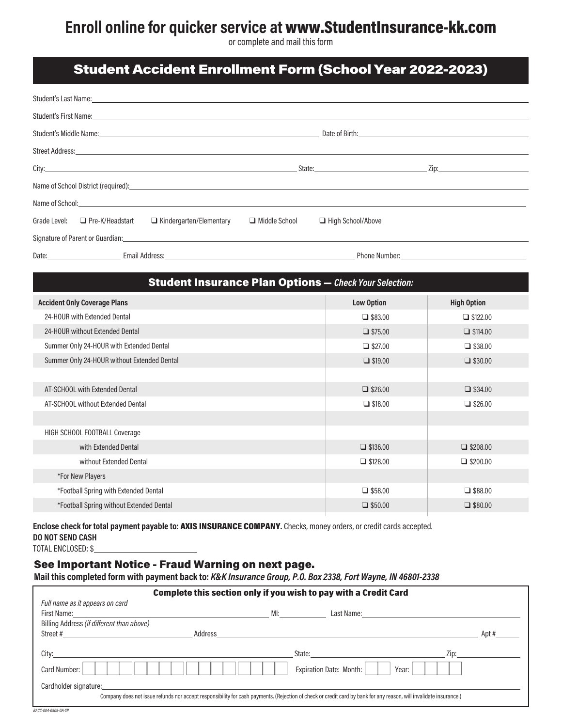# Enroll online for quicker service at www.StudentInsurance-kk.com

or complete and mail this form

# Student Accident Enrollment Form (School Year 2022-2023)

| Student's Last Name: experience of the state of the state of the state of the state of the state of the state of the state of the state of the state of the state of the state of the state of the state of the state of the s |                 |                                                                                                                                                                                                                                |  |
|--------------------------------------------------------------------------------------------------------------------------------------------------------------------------------------------------------------------------------|-----------------|--------------------------------------------------------------------------------------------------------------------------------------------------------------------------------------------------------------------------------|--|
| Student's First Name: experience and the state of the state of the state of the state of the state of the state of the state of the state of the state of the state of the state of the state of the state of the state of the |                 |                                                                                                                                                                                                                                |  |
|                                                                                                                                                                                                                                |                 | Date of Birth: and the contract of the contract of the contract of the contract of the contract of the contract of the contract of the contract of the contract of the contract of the contract of the contract of the contrac |  |
|                                                                                                                                                                                                                                |                 |                                                                                                                                                                                                                                |  |
|                                                                                                                                                                                                                                |                 |                                                                                                                                                                                                                                |  |
|                                                                                                                                                                                                                                |                 |                                                                                                                                                                                                                                |  |
|                                                                                                                                                                                                                                |                 |                                                                                                                                                                                                                                |  |
| Grade Level: □ Pre-K/Headstart □ Kindergarten/Elementary                                                                                                                                                                       | □ Middle School | High School/Above                                                                                                                                                                                                              |  |
|                                                                                                                                                                                                                                |                 |                                                                                                                                                                                                                                |  |
| Date: Email Address: Email Address: Email Address: Email Address: Email Address: Email Address: Email Address: Email Address: Email Address: Email Address: Email Address: Email Address: Email Address: Email Address: Email  |                 | Phone Number: The contract of the contract of the contract of the contract of the contract of the contract of the contract of the contract of the contract of the contract of the contract of the contract of the contract of  |  |

# Accident Only Coverage Plans Low Option High Option High Option High Option High Option High Option High Option 24-HOUR with Extended Dental  $\Box$  \$83.00  $\Box$  \$122.00 24-HOUR without Extended Dental  $\Box$  \$114.00  $\Box$  \$114.00 Summer Only 24-HOUR with Extended Dental **quality and COU** \$38.00 q \$38.00 q \$38.00 Summer Only 24-HOUR without Extended Dental **quality and the CONN CONNO** \$19.00 **q** \$30.00 **q** \$30.00 AT-SCHOOL with Extended Dental  $\Box$  \$34.00  $\Box$  \$34.00 AT-SCHOOL without Extended Dental  $\Box$  \$18.00  $\Box$  \$26.00  $\Box$  \$26.00 HIGH SCHOOL FOOTBALL Coverage with Extended Dental  $\Box$  \$136.00  $\Box$  \$208.00  $\Box$  \$208.00 without Extended Dental  $\Box$  \$128.00  $\Box$  \$200.00  $\Box$  \$200.00 \*For New Players \*Football Spring with Extended Dental and the state of the state of the state of the state of the state of the state of the state of the state of the state of the state of the state of the state of the state of the state  $*$ Football Spring without Extended Dental  $\Box$  \$80.00  $\Box$  \$80.00  $\Box$  \$80.00  $\Box$  \$80.00 Student Insurance Plan Options — Check Your Selection:

Enclose check for total payment payable to: AXIS INSURANCE COMPANY. Checks, money orders, or credit cards accepted. DO NOT SEND CASH

TOTAL ENCLOSED: \$

# See Important Notice - Fraud Warning on next page.

Mail this completed form with payment back to: K&K Insurance Group, P.O. Box 2338, Fort Wayne, IN 46801-2338

|                                           |         |    | Complete this section only if you wish to pay with a Credit Card                                                                                                                                                                       |      |
|-------------------------------------------|---------|----|----------------------------------------------------------------------------------------------------------------------------------------------------------------------------------------------------------------------------------------|------|
| Full name as it appears on card           |         |    |                                                                                                                                                                                                                                        |      |
|                                           |         | M! |                                                                                                                                                                                                                                        |      |
| Billing Address (if different than above) |         |    |                                                                                                                                                                                                                                        |      |
| Street #                                  | Address |    |                                                                                                                                                                                                                                        | Apt# |
|                                           |         |    |                                                                                                                                                                                                                                        |      |
| City:                                     |         |    | State: The State of the State of the State of the State of the State of the State of the State of the State of the State of the State of the State of the State of the State of the State of the State of the State of the Sta<br>Zip: |      |
| Card Number:                              |         |    | <b>Expiration Date: Month:</b><br>Year:                                                                                                                                                                                                |      |
| Cardholder signature:                     |         |    |                                                                                                                                                                                                                                        |      |
|                                           |         |    | Company does not issue refunds nor accept responsibility for cash payments. (Rejection of check or credit card by bank for any reason, will invalidate insurance.)                                                                     |      |
| <b>PACC 004 0000 CA SD</b>                |         |    |                                                                                                                                                                                                                                        |      |